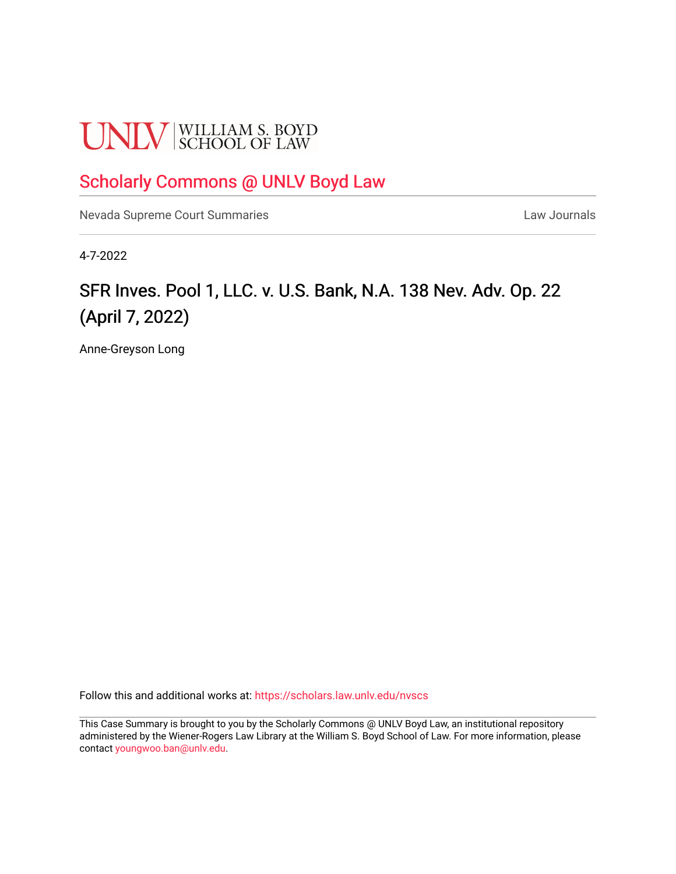# **UNLV** SCHOOL OF LAW

### [Scholarly Commons @ UNLV Boyd Law](https://scholars.law.unlv.edu/)

[Nevada Supreme Court Summaries](https://scholars.law.unlv.edu/nvscs) **Law Journals** Law Journals

4-7-2022

## SFR Inves. Pool 1, LLC. v. U.S. Bank, N.A. 138 Nev. Adv. Op. 22 (April 7, 2022)

Anne-Greyson Long

Follow this and additional works at: [https://scholars.law.unlv.edu/nvscs](https://scholars.law.unlv.edu/nvscs?utm_source=scholars.law.unlv.edu%2Fnvscs%2F1476&utm_medium=PDF&utm_campaign=PDFCoverPages)

This Case Summary is brought to you by the Scholarly Commons @ UNLV Boyd Law, an institutional repository administered by the Wiener-Rogers Law Library at the William S. Boyd School of Law. For more information, please contact [youngwoo.ban@unlv.edu](mailto:youngwoo.ban@unlv.edu).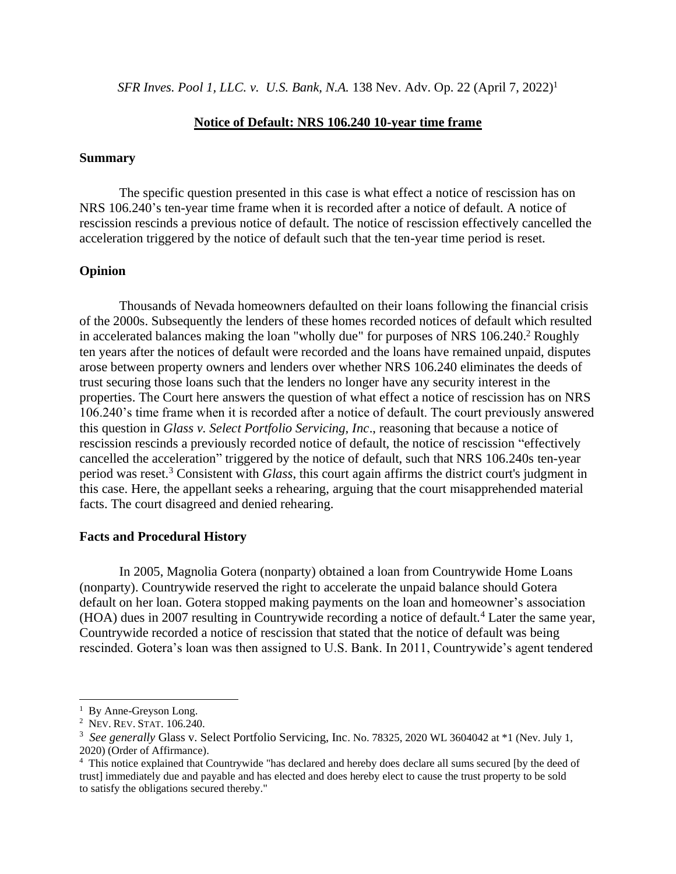*SFR Inves. Pool 1, LLC. v. U.S. Bank, N.A.* 138 Nev. Adv. Op. 22 (April 7, 2022) 1

#### **Notice of Default: NRS 106.240 10-year time frame**

#### **Summary**

The specific question presented in this case is what effect a notice of rescission has on NRS 106.240's ten-year time frame when it is recorded after a notice of default. A notice of rescission rescinds a previous notice of default. The notice of rescission effectively cancelled the acceleration triggered by the notice of default such that the ten-year time period is reset.

#### **Opinion**

Thousands of Nevada homeowners defaulted on their loans following the financial crisis of the 2000s. Subsequently the lenders of these homes recorded notices of default which resulted in accelerated balances making the loan "wholly due" for purposes of NRS 106.240. <sup>2</sup> Roughly ten years after the notices of default were recorded and the loans have remained unpaid, disputes arose between property owners and lenders over whether NRS 106.240 eliminates the deeds of trust securing those loans such that the lenders no longer have any security interest in the properties. The Court here answers the question of what effect a notice of rescission has on NRS 106.240's time frame when it is recorded after a notice of default. The court previously answered this question in *Glass v. Select Portfolio Servicing, Inc*., reasoning that because a notice of rescission rescinds a previously recorded notice of default, the notice of rescission "effectively cancelled the acceleration" triggered by the notice of default, such that NRS 106.240s ten-year period was reset.<sup>3</sup> Consistent with *Glass*, this court again affirms the district court's judgment in this case. Here, the appellant seeks a rehearing, arguing that the court misapprehended material facts. The court disagreed and denied rehearing.

#### **Facts and Procedural History**

In 2005, Magnolia Gotera (nonparty) obtained a loan from Countrywide Home Loans (nonparty). Countrywide reserved the right to accelerate the unpaid balance should Gotera default on her loan. Gotera stopped making payments on the loan and homeowner's association (HOA) dues in 2007 resulting in Countrywide recording a notice of default.<sup>4</sup> Later the same year, Countrywide recorded a notice of rescission that stated that the notice of default was being rescinded. Gotera's loan was then assigned to U.S. Bank. In 2011, Countrywide's agent tendered

<sup>&</sup>lt;sup>1</sup> By Anne-Greyson Long.

<sup>2</sup> NEV. REV.STAT. 106.240.

<sup>&</sup>lt;sup>3</sup> See generally Glass v. Select Portfolio Servicing, Inc. No. 78325, 2020 WL 3604042 at \*1 (Nev. July 1, 2020) (Order of Affirmance).

<sup>&</sup>lt;sup>4</sup> This notice explained that Countrywide "has declared and hereby does declare all sums secured [by the deed of trust] immediately due and payable and has elected and does hereby elect to cause the trust property to be sold to satisfy the obligations secured thereby."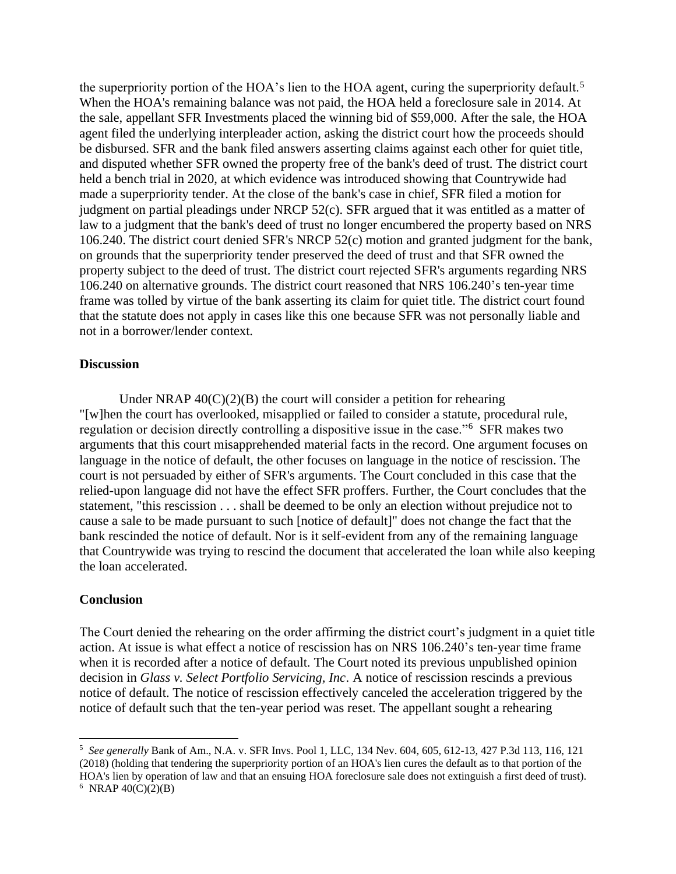the superpriority portion of the HOA's lien to the HOA agent, curing the superpriority default.<sup>5</sup> When the HOA's remaining balance was not paid, the HOA held a foreclosure sale in 2014. At the sale, appellant SFR Investments placed the winning bid of \$59,000. After the sale, the HOA agent filed the underlying interpleader action, asking the district court how the proceeds should be disbursed. SFR and the bank filed answers asserting claims against each other for quiet title, and disputed whether SFR owned the property free of the bank's deed of trust. The district court held a bench trial in 2020, at which evidence was introduced showing that Countrywide had made a superpriority tender. At the close of the bank's case in chief, SFR filed a motion for judgment on partial pleadings under NRCP 52(c). SFR argued that it was entitled as a matter of law to a judgment that the bank's deed of trust no longer encumbered the property based on NRS 106.240. The district court denied SFR's NRCP 52(c) motion and granted judgment for the bank, on grounds that the superpriority tender preserved the deed of trust and that SFR owned the property subject to the deed of trust. The district court rejected SFR's arguments regarding NRS 106.240 on alternative grounds. The district court reasoned that NRS 106.240's ten-year time frame was tolled by virtue of the bank asserting its claim for quiet title. The district court found that the statute does not apply in cases like this one because SFR was not personally liable and not in a borrower/lender context.

#### **Discussion**

Under NRAP  $40(C)(2)(B)$  the court will consider a petition for rehearing "[w]hen the court has overlooked, misapplied or failed to consider a statute, procedural rule, regulation or decision directly controlling a dispositive issue in the case."<sup>6</sup> SFR makes two arguments that this court misapprehended material facts in the record. One argument focuses on language in the notice of default, the other focuses on language in the notice of rescission. The court is not persuaded by either of SFR's arguments. The Court concluded in this case that the relied-upon language did not have the effect SFR proffers. Further, the Court concludes that the statement, "this rescission . . . shall be deemed to be only an election without prejudice not to cause a sale to be made pursuant to such [notice of default]" does not change the fact that the bank rescinded the notice of default. Nor is it self-evident from any of the remaining language that Countrywide was trying to rescind the document that accelerated the loan while also keeping the loan accelerated.

#### **Conclusion**

The Court denied the rehearing on the order affirming the district court's judgment in a quiet title action. At issue is what effect a notice of rescission has on NRS 106.240's ten-year time frame when it is recorded after a notice of default. The Court noted its previous unpublished opinion decision in *Glass v. Select Portfolio Servicing, Inc*. A notice of rescission rescinds a previous notice of default. The notice of rescission effectively canceled the acceleration triggered by the notice of default such that the ten-year period was reset. The appellant sought a rehearing

<sup>5</sup> *See generally* Bank of Am., N.A. v. SFR Invs. Pool 1, LLC, 134 Nev. 604, 605, 612-13, 427 P.3d 113, 116, 121 (2018) (holding that tendering the superpriority portion of an HOA's lien cures the default as to that portion of the HOA's lien by operation of law and that an ensuing HOA foreclosure sale does not extinguish a first deed of trust).  $6$  NRAP 40(C)(2)(B)